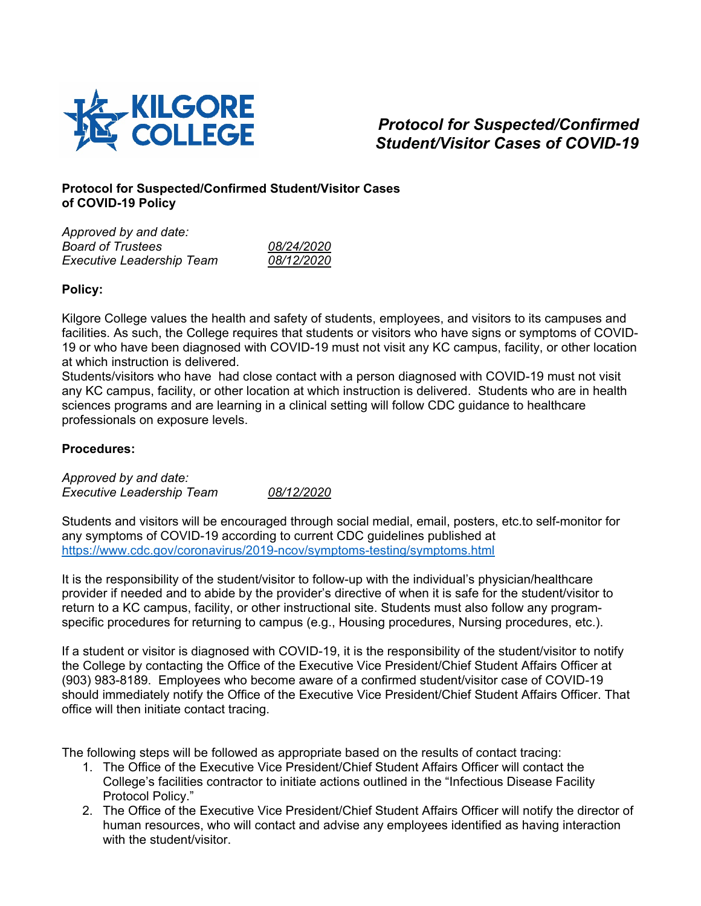

## *Protocol for Suspected/Confirmed Student/Visitor Cases of COVID-19*

## **Protocol for Suspected/Confirmed Student/Visitor Cases of COVID-19 Policy**

| Approved by and date:            |            |
|----------------------------------|------------|
| <b>Board of Trustees</b>         | 08/24/2020 |
| <b>Executive Leadership Team</b> | 08/12/2020 |
|                                  |            |

## **Policy:**

Kilgore College values the health and safety of students, employees, and visitors to its campuses and facilities. As such, the College requires that students or visitors who have signs or symptoms of COVID-19 or who have been diagnosed with COVID-19 must not visit any KC campus, facility, or other location at which instruction is delivered.

Students/visitors who have had close contact with a person diagnosed with COVID-19 must not visit any KC campus, facility, or other location at which instruction is delivered. Students who are in health sciences programs and are learning in a clinical setting will follow CDC guidance to healthcare professionals on exposure levels.

## **Procedures:**

*Approved by and date: Executive Leadership Team 08/12/2020*

Students and visitors will be encouraged through social medial, email, posters, etc.to self-monitor for any symptoms of COVID-19 according to current CDC guidelines published at <https://www.cdc.gov/coronavirus/2019-ncov/symptoms-testing/symptoms.html>

It is the responsibility of the student/visitor to follow-up with the individual's physician/healthcare provider if needed and to abide by the provider's directive of when it is safe for the student/visitor to return to a KC campus, facility, or other instructional site. Students must also follow any programspecific procedures for returning to campus (e.g., Housing procedures, Nursing procedures, etc.).

If a student or visitor is diagnosed with COVID-19, it is the responsibility of the student/visitor to notify the College by contacting the Office of the Executive Vice President/Chief Student Affairs Officer at (903) 983-8189. Employees who become aware of a confirmed student/visitor case of COVID-19 should immediately notify the Office of the Executive Vice President/Chief Student Affairs Officer. That office will then initiate contact tracing.

The following steps will be followed as appropriate based on the results of contact tracing:

- 1. The Office of the Executive Vice President/Chief Student Affairs Officer will contact the College's facilities contractor to initiate actions outlined in the "Infectious Disease Facility Protocol Policy."
- 2. The Office of the Executive Vice President/Chief Student Affairs Officer will notify the director of human resources, who will contact and advise any employees identified as having interaction with the student/visitor